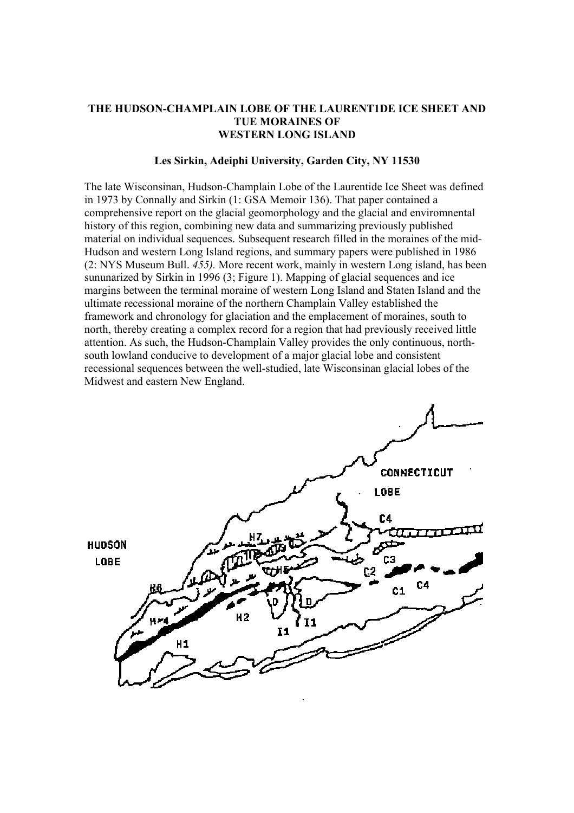## **THE HUDSON-CHAMPLAIN LOBE OF THE LAURENT1DE ICE SHEET AND TUE MORAINES OF WESTERN LONG ISLAND**

## **Les Sirkin, Adeiphi University, Garden City, NY 11530**

The late Wisconsinan, Hudson-Champlain Lobe of the Laurentide Ice Sheet was defined in 1973 by Connally and Sirkin (1: GSA Memoir 136). That paper contained a comprehensive report on the glacial geomorphology and the glacial and enviromnental history of this region, combining new data and summarizing previously published material on individual sequences. Subsequent research filled in the moraines of the mid-Hudson and western Long Island regions, and summary papers were published in 1986 (2: NYS Museum Bull. *455).* More recent work, mainly in western Long island, has been sununarized by Sirkin in 1996 (3; Figure 1). Mapping of glacial sequences and ice margins between the terminal moraine of western Long Island and Staten Island and the ultimate recessional moraine of the northern Champlain Valley established the framework and chronology for glaciation and the emplacement of moraines, south to north, thereby creating a complex record for a region that had previously received little attention. As such, the Hudson-Champlain Valley provides the only continuous, northsouth lowland conducive to development of a major glacial lobe and consistent recessional sequences between the well-studied, late Wisconsinan glacial lobes of the Midwest and eastern New England.

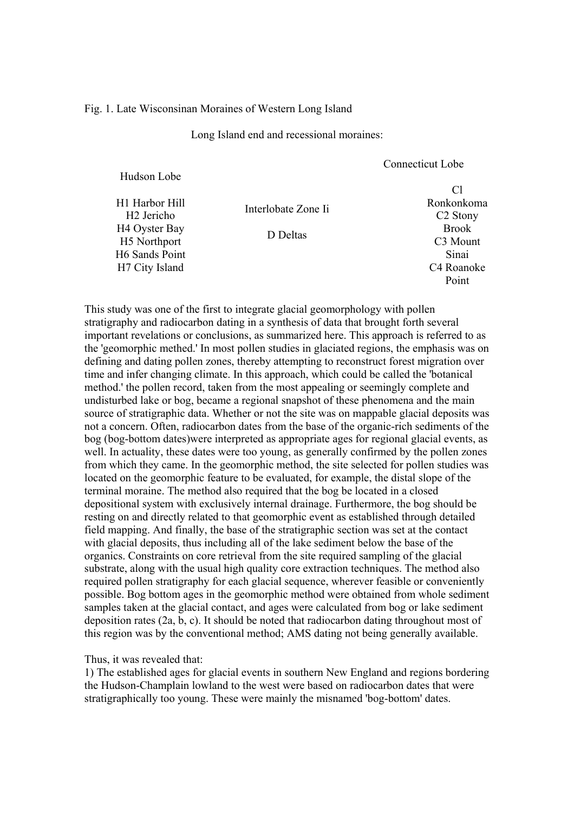## Fig. 1. Late Wisconsinan Moraines of Western Long Island

Long Island end and recessional moraines:

|                                                       |                     | Compound Loc                         |
|-------------------------------------------------------|---------------------|--------------------------------------|
| Hudson Lobe                                           |                     | Cl                                   |
| H1 Harbor Hill<br>H <sub>2</sub> Jericho              | Interlobate Zone Ii | Ronkonkoma<br>C <sub>2</sub> Stony   |
| H <sub>4</sub> Oyster Bay<br>H <sub>5</sub> Northport | D Deltas            | <b>Brook</b><br>C <sub>3</sub> Mount |
| <b>H6 Sands Point</b>                                 |                     | Sinai                                |
| H7 City Island                                        |                     | C <sub>4</sub> Roanoke               |
|                                                       |                     | Point                                |

Connecticut Lobe

This study was one of the first to integrate glacial geomorphology with pollen stratigraphy and radiocarbon dating in a synthesis of data that brought forth several important revelations or conclusions, as summarized here. This approach is referred to as the 'geomorphic methed.' In most pollen studies in glaciated regions, the emphasis was on defining and dating pollen zones, thereby attempting to reconstruct forest migration over time and infer changing climate. In this approach, which could be called the 'botanical method.' the pollen record, taken from the most appealing or seemingly complete and undisturbed lake or bog, became a regional snapshot of these phenomena and the main source of stratigraphic data. Whether or not the site was on mappable glacial deposits was not a concern. Often, radiocarbon dates from the base of the organic-rich sediments of the bog (bog-bottom dates)were interpreted as appropriate ages for regional glacial events, as well. In actuality, these dates were too young, as generally confirmed by the pollen zones from which they came. In the geomorphic method, the site selected for pollen studies was located on the geomorphic feature to be evaluated, for example, the distal slope of the terminal moraine. The method also required that the bog be located in a closed depositional system with exclusively internal drainage. Furthermore, the bog should be resting on and directly related to that geomorphic event as established through detailed field mapping. And finally, the base of the stratigraphic section was set at the contact with glacial deposits, thus including all of the lake sediment below the base of the organics. Constraints on core retrieval from the site required sampling of the glacial substrate, along with the usual high quality core extraction techniques. The method also required pollen stratigraphy for each glacial sequence, wherever feasible or conveniently possible. Bog bottom ages in the geomorphic method were obtained from whole sediment samples taken at the glacial contact, and ages were calculated from bog or lake sediment deposition rates (2a, b, c). It should be noted that radiocarbon dating throughout most of this region was by the conventional method; AMS dating not being generally available.

Thus, it was revealed that:

1) The established ages for glacial events in southern New England and regions bordering the Hudson-Champlain lowland to the west were based on radiocarbon dates that were stratigraphically too young. These were mainly the misnamed 'bog-bottom' dates.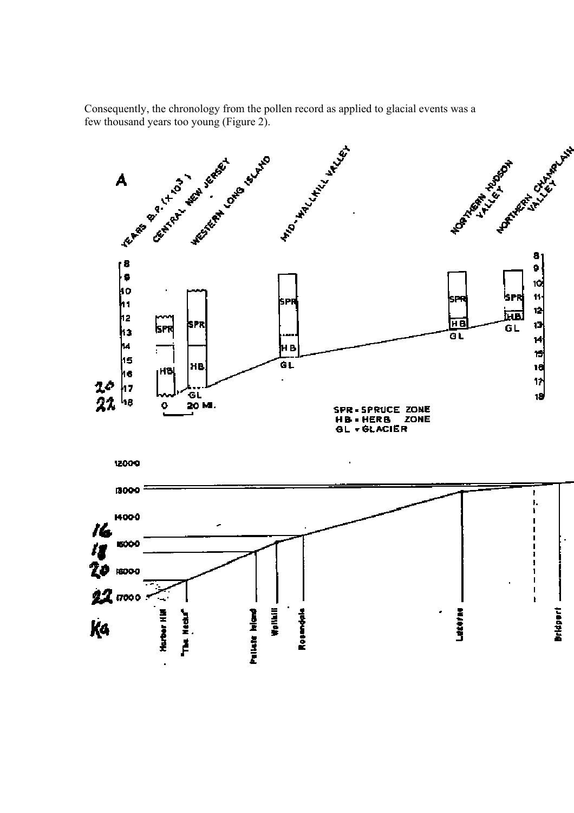Consequently, the chronology from the pollen record as applied to glacial events was a

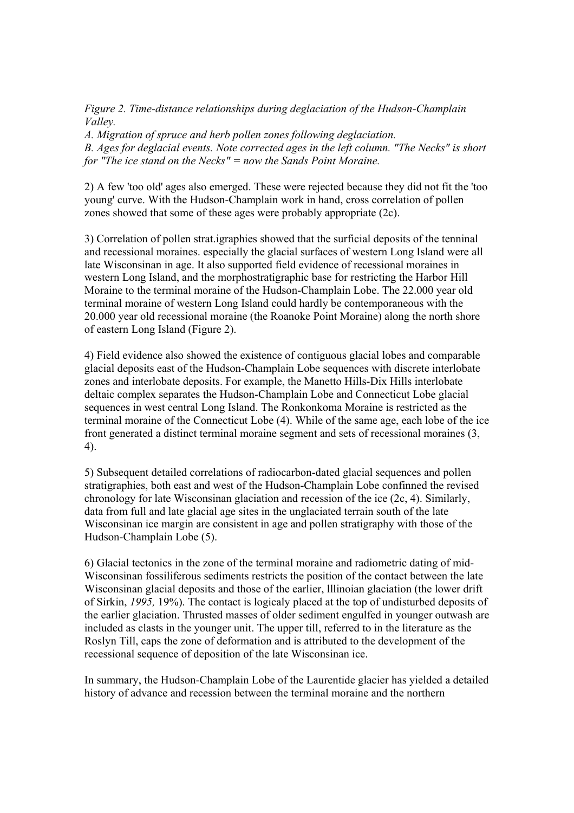*Figure 2. Time-distance relationships during deglaciation of the Hudson-Champlain Valley.* 

*A. Migration of spruce and herb pollen zones following deglaciation. B. Ages for deglacial events. Note corrected ages in the left column. "The Necks" is short for "The ice stand on the Necks" = now the Sands Point Moraine.*

2) A few 'too old' ages also emerged. These were rejected because they did not fit the 'too young' curve. With the Hudson-Champlain work in hand, cross correlation of pollen zones showed that some of these ages were probably appropriate (2c).

3) Correlation of pollen strat.igraphies showed that the surficial deposits of the tenninal and recessional moraines. especially the glacial surfaces of western Long Island were all late Wisconsinan in age. It also supported field evidence of recessional moraines in western Long Island, and the morphostratigraphic base for restricting the Harbor Hill Moraine to the terminal moraine of the Hudson-Champlain Lobe. The 22.000 year old terminal moraine of western Long Island could hardly be contemporaneous with the 20.000 year old recessional moraine (the Roanoke Point Moraine) along the north shore of eastern Long Island (Figure 2).

4) Field evidence also showed the existence of contiguous glacial lobes and comparable glacial deposits east of the Hudson-Champlain Lobe sequences with discrete interlobate zones and interlobate deposits. For example, the Manetto Hills-Dix Hills interlobate deltaic complex separates the Hudson-Champlain Lobe and Connecticut Lobe glacial sequences in west central Long Island. The Ronkonkoma Moraine is restricted as the terminal moraine of the Connecticut Lobe (4). While of the same age, each lobe of the ice front generated a distinct terminal moraine segment and sets of recessional moraines (3, 4).

5) Subsequent detailed correlations of radiocarbon-dated glacial sequences and pollen stratigraphies, both east and west of the Hudson-Champlain Lobe confinned the revised chronology for late Wisconsinan glaciation and recession of the ice (2c, 4). Similarly, data from full and late glacial age sites in the unglaciated terrain south of the late Wisconsinan ice margin are consistent in age and pollen stratigraphy with those of the Hudson-Champlain Lobe (5).

6) Glacial tectonics in the zone of the terminal moraine and radiometric dating of mid-Wisconsinan fossiliferous sediments restricts the position of the contact between the late Wisconsinan glacial deposits and those of the earlier, lllinoian glaciation (the lower drift of Sirkin, *1995,* 19%). The contact is logicaly placed at the top of undisturbed deposits of the earlier glaciation. Thrusted masses of older sediment engulfed in younger outwash are included as clasts in the younger unit. The upper till, referred to in the literature as the Roslyn Till, caps the zone of deformation and is attributed to the development of the recessional sequence of deposition of the late Wisconsinan ice.

In summary, the Hudson-Champlain Lobe of the Laurentide glacier has yielded a detailed history of advance and recession between the terminal moraine and the northern